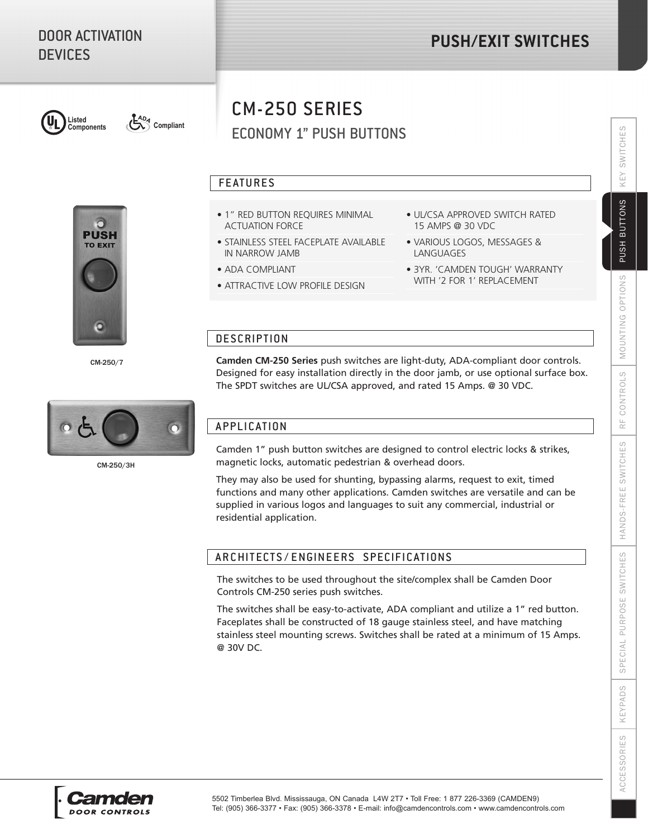

**Components** Compliant

# ECONOMY 1" PUSH BUTTONS CM-250 SERIES

### FEATURES

- 1" RED BUTTON REQUIRES MINIMAL ACTUATION FORCE
- STAINLESS STEEL FACEPLATE AVAILABLE IN NARROW JAMB
- ADA COMPLIANT
- ATTRACTIVE LOW PROFILE DESIGN
- UL/CSA APPROVED SWITCH RATED 15 AMPS @ 30 VDC
- VARIOUS LOGOS, MESSAGES & LANGUAGES
- 3YR. 'CAMDEN TOUGH' WARRANTY WITH '2 FOR 1' REPLACEMENT

### **DESCRIPTION**

**Camden CM-250 Series** push switches are light-duty, ADA-compliant door controls. Designed for easy installation directly in the door jamb, or use optional surface box. The SPDT switches are UL/CSA approved, and rated 15 Amps. @ 30 VDC.

## APPLICATION

Camden 1" push button switches are designed to control electric locks & strikes, magnetic locks, automatic pedestrian & overhead doors.

They may also be used for shunting, bypassing alarms, request to exit, timed functions and many other applications. Camden switches are versatile and can be supplied in various logos and languages to suit any commercial, industrial or residential application.

### ARCHITECTS / ENGINEERS SPECIFICATIONS

The switches to be used throughout the site/complex shall be Camden Door Controls CM-250 series push switches.

The switches shall be easy-to-activate, ADA compliant and utilize a 1" red button. Faceplates shall be constructed of 18 gauge stainless steel, and have matching stainless steel mounting screws. Switches shall be rated at a minimum of 15 Amps. @ 30V DC.

KEYPADS

**ACCESSORIES** 





CM-250/7

**PUSH TO EXIT**